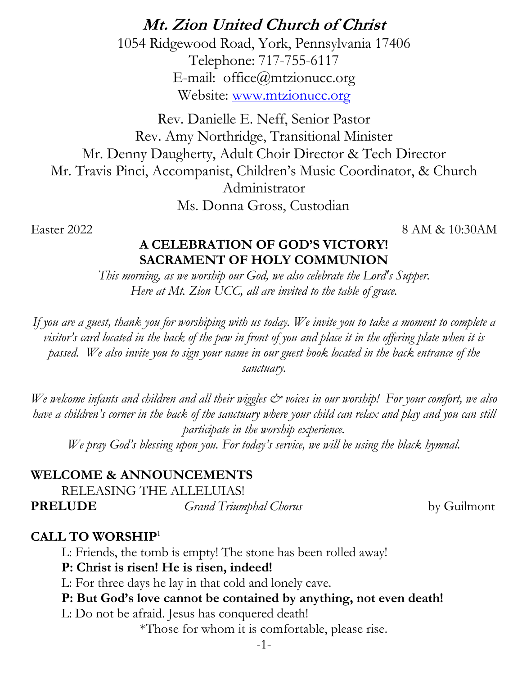**Mt. Zion United Church of Christ** 1054 Ridgewood Road, York, Pennsylvania 17406 Telephone: 717-755-6117 E-mail: office@mtzionucc.org Website: [www.mtzionucc.org](http://www.mtzionucc.org/)

Rev. Danielle E. Neff, Senior Pastor Rev. Amy Northridge, Transitional Minister Mr. Denny Daugherty, Adult Choir Director & Tech Director Mr. Travis Pinci, Accompanist, Children's Music Coordinator, & Church Administrator Ms. Donna Gross, Custodian

Easter 2022 8 AM & 10:30AM

#### **A CELEBRATION OF GOD'S VICTORY! SACRAMENT OF HOLY COMMUNION**

*This morning, as we worship our God, we also celebrate the Lord's Supper. Here at Mt. Zion UCC, all are invited to the table of grace.*

*If you are a guest, thank you for worshiping with us today. We invite you to take a moment to complete a visitor's card located in the back of the pew in front of you and place it in the offering plate when it is passed. We also invite you to sign your name in our guest book located in the back entrance of the sanctuary.* 

*We welcome infants and children and all their wiggles*  $\mathcal{O}$  *voices in our worship! For your comfort, we also have a children's corner in the back of the sanctuary where your child can relax and play and you can still participate in the worship experience.* 

*We pray God's blessing upon you. For today's service, we will be using the black hymnal.*

#### **WELCOME & ANNOUNCEMENTS**

RELEASING THE ALLELUIAS! **PRELUDE** *Grand Triumphal Chorus* by Guilmont

#### **CALL TO WORSHIP**<sup>1</sup>

L: Friends, the tomb is empty! The stone has been rolled away!

#### **P: Christ is risen! He is risen, indeed!**

L: For three days he lay in that cold and lonely cave.

#### **P: But God's love cannot be contained by anything, not even death!**

L: Do not be afraid. Jesus has conquered death!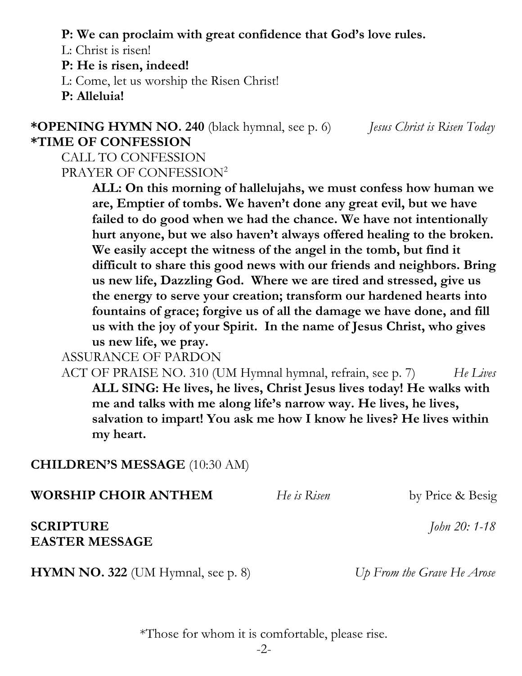**P: We can proclaim with great confidence that God's love rules.**

L: Christ is risen!

**P: He is risen, indeed!**

L: Come, let us worship the Risen Christ!

**P: Alleluia!**

#### **\*OPENING HYMN NO. 240** (black hymnal, see p. 6) *Jesus Christ is Risen Today* **\*TIME OF CONFESSION**

CALL TO CONFESSION PRAYER OF CONFESSION<sup>2</sup>

> **ALL: On this morning of hallelujahs, we must confess how human we are, Emptier of tombs. We haven't done any great evil, but we have failed to do good when we had the chance. We have not intentionally hurt anyone, but we also haven't always offered healing to the broken. We easily accept the witness of the angel in the tomb, but find it difficult to share this good news with our friends and neighbors. Bring us new life, Dazzling God. Where we are tired and stressed, give us the energy to serve your creation; transform our hardened hearts into fountains of grace; forgive us of all the damage we have done, and fill us with the joy of your Spirit. In the name of Jesus Christ, who gives us new life, we pray.**

ASSURANCE OF PARDON

ACT OF PRAISE NO. 310 (UM Hymnal hymnal, refrain, see p. 7)*He Lives* **ALL SING: He lives, he lives, Christ Jesus lives today! He walks with me and talks with me along life's narrow way. He lives, he lives, salvation to impart! You ask me how I know he lives? He lives within my heart.**

#### **CHILDREN'S MESSAGE** (10:30 AM)

**WORSHIP CHOIR ANTHEM** *He is Risen*by Price & Besig

**SCRIPTURE** *John 20: 1-18*

**EASTER MESSAGE**

**HYMN NO. 322** (UM Hymnal, see p. 8)*Up From the Grave He Arose*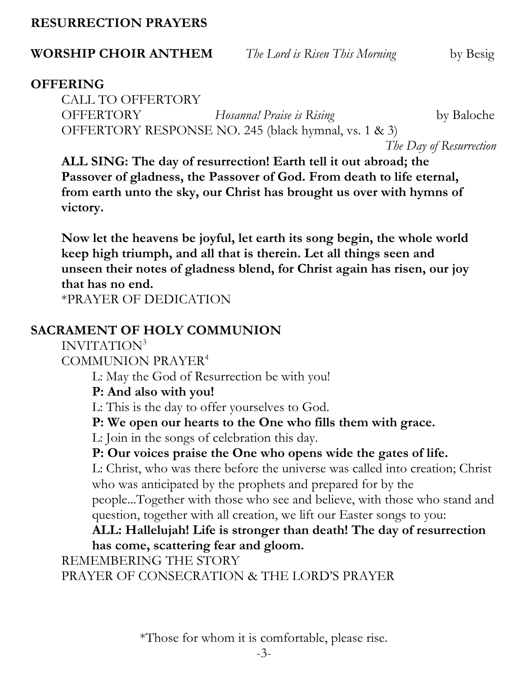#### **RESURRECTION PRAYERS**

#### **WORSHIP CHOIR ANTHEM** *The Lord is Risen This Morning* by Besig

#### **OFFERING**

CALL TO OFFERTORY OFFERTORY *Hosanna! Praise is Rising* by Baloche OFFERTORY RESPONSE NO. 245 (black hymnal, vs. 1 & 3)

*The Day of Resurrection*

**ALL SING: The day of resurrection! Earth tell it out abroad; the Passover of gladness, the Passover of God. From death to life eternal, from earth unto the sky, our Christ has brought us over with hymns of victory.**

**Now let the heavens be joyful, let earth its song begin, the whole world keep high triumph, and all that is therein. Let all things seen and unseen their notes of gladness blend, for Christ again has risen, our joy that has no end.**

\*PRAYER OF DEDICATION

#### **SACRAMENT OF HOLY COMMUNION**

#### INVITATION<sup>3</sup>

COMMUNION PRAYER<sup>4</sup>

L: May the God of Resurrection be with you!

#### **P: And also with you!**

L: This is the day to offer yourselves to God.

**P: We open our hearts to the One who fills them with grace.**

L: Join in the songs of celebration this day.

#### **P: Our voices praise the One who opens wide the gates of life.**

L: Christ, who was there before the universe was called into creation; Christ who was anticipated by the prophets and prepared for by the people...Together with those who see and believe, with those who stand and

question, together with all creation, we lift our Easter songs to you:

#### **ALL: Hallelujah! Life is stronger than death! The day of resurrection has come, scattering fear and gloom.**

REMEMBERING THE STORY

PRAYER OF CONSECRATION & THE LORD'S PRAYER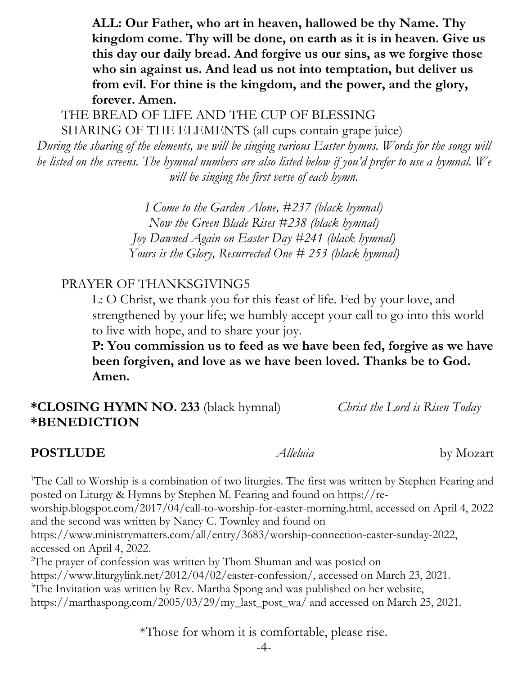**ALL: Our Father, who art in heaven, hallowed be thy Name. Thy kingdom come. Thy will be done, on earth as it is in heaven. Give us this day our daily bread. And forgive us our sins, as we forgive those who sin against us. And lead us not into temptation, but deliver us from evil. For thine is the kingdom, and the power, and the glory, forever. Amen.**

THE BREAD OF LIFE AND THE CUP OF BLESSING SHARING OF THE ELEMENTS (all cups contain grape juice)

*During the sharing of the elements, we will be singing various Easter hymns. Words for the songs will be listed on the screens. The hymnal numbers are also listed below if you'd prefer to use a hymnal. We will be singing the first verse of each hymn.*

> *I Come to the Garden Alone, #237 (black hymnal) Now the Green Blade Rises #238 (black hymnal) Joy Dawned Again on Easter Day #241 (black hymnal) Yours is the Glory, Resurrected One # 253 (black hymnal)*

#### PRAYER OF THANKSGIVING5

L: O Christ, we thank you for this feast of life. Fed by your love, and strengthened by your life; we humbly accept your call to go into this world to live with hope, and to share your joy.

**P: You commission us to feed as we have been fed, forgive as we have been forgiven, and love as we have been loved. Thanks be to God. Amen.**

**\*CLOSING HYMN NO. 233** (black hymnal) *Christ the Lord is Risen Today* **\*BENEDICTION**

#### **POSTLUDE** *Alleluia* by Mozart

<sup>1</sup>The Call to Worship is a combination of two liturgies. The first was written by Stephen Fearing and posted on Liturgy & Hymns by Stephen M. Fearing and found on https://re-

worship.blogspot.com/2017/04/call-to-worship-for-easter-morning.html, accessed on April 4, 2022 and the second was written by Nancy C. Townley and found on

https://www.ministrymatters.com/all/entry/3683/worship-connection-easter-sunday-2022, accessed on April 4, 2022.

<sup>2</sup>The prayer of confession was written by Thom Shuman and was posted on

https://www.liturgylink.net/2012/04/02/easter-confession/, accessed on March 23, 2021.

<sup>3</sup>The Invitation was written by Rev. Martha Spong and was published on her website,

https://marthaspong.com/2005/03/29/my\_last\_post\_wa/ and accessed on March 25, 2021.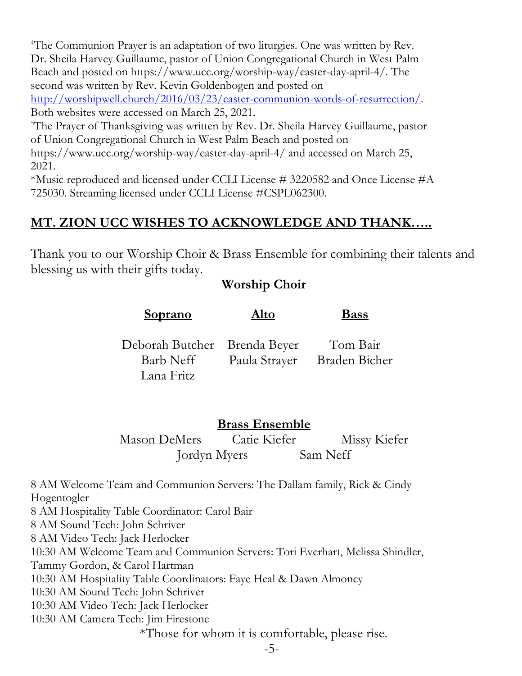<sup>4</sup>The Communion Prayer is an adaptation of two liturgies. One was written by Rev. Dr. Sheila Harvey Guillaume, pastor of Union Congregational Church in West Palm Beach and posted on https://www.ucc.org/worship-way/easter-day-april-4/. The second was written by Rev. Kevin Goldenbogen and posted on [http://worshipwell.church/2016/03/23/easter-communion-words-of-resurrection/.](http://worshipwell.church/2016/03/23/easter-communion-words-of-resurrection/)

Both websites were accessed on March 25, 2021.

<sup>5</sup>The Prayer of Thanksgiving was written by Rev. Dr. Sheila Harvey Guillaume, pastor of Union Congregational Church in West Palm Beach and posted on

https://www.ucc.org/worship-way/easter-day-april-4/ and accessed on March 25, 2021.

\*Music reproduced and licensed under CCLI License # 3220582 and Once License #A 725030. Streaming licensed under CCLI License #CSPL062300.

### **MT. ZION UCC WISHES TO ACKNOWLEDGE AND THANK…..**

Thank you to our Worship Choir & Brass Ensemble for combining their talents and blessing us with their gifts today.

#### **Worship Choir**

| <u>Soprano</u>                            | Alto          | <b>Bass</b>               |
|-------------------------------------------|---------------|---------------------------|
| Deborah Butcher Brenda Beyer<br>Barb Neff | Paula Strayer | Tom Bair<br>Braden Bicher |
| Lana Fritz                                |               |                           |

#### **Brass Ensemble**

Mason DeMers Catie Kiefer Missy Kiefer Jordyn Myers Sam Neff

8 AM Welcome Team and Communion Servers: The Dallam family, Rick & Cindy Hogentogler

8 AM Hospitality Table Coordinator: Carol Bair

8 AM Sound Tech: John Schriver

8 AM Video Tech: Jack Herlocker

10:30 AM Welcome Team and Communion Servers: Tori Everhart, Melissa Shindler,

Tammy Gordon, & Carol Hartman

10:30 AM Hospitality Table Coordinators: Faye Heal & Dawn Almoney

10:30 AM Sound Tech: John Schriver

10:30 AM Video Tech: Jack Herlocker

10:30 AM Camera Tech: Jim Firestone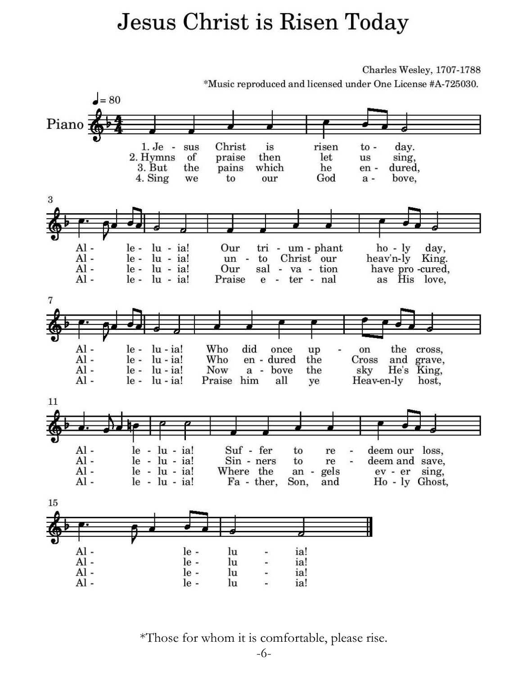### Jesus Christ is Risen Today

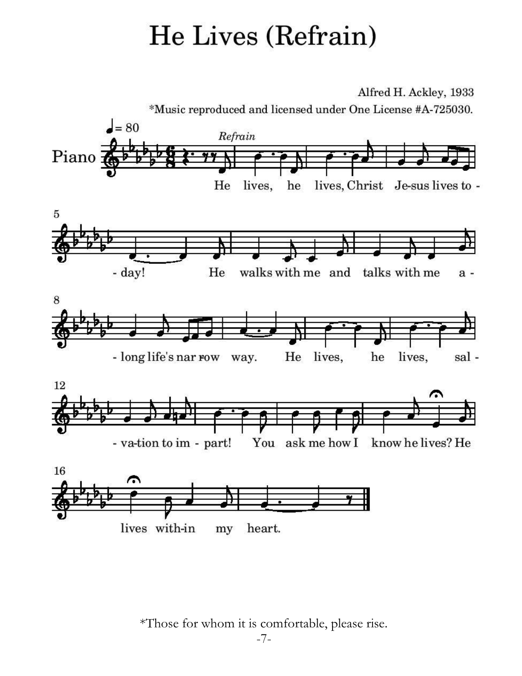# He Lives (Refrain)

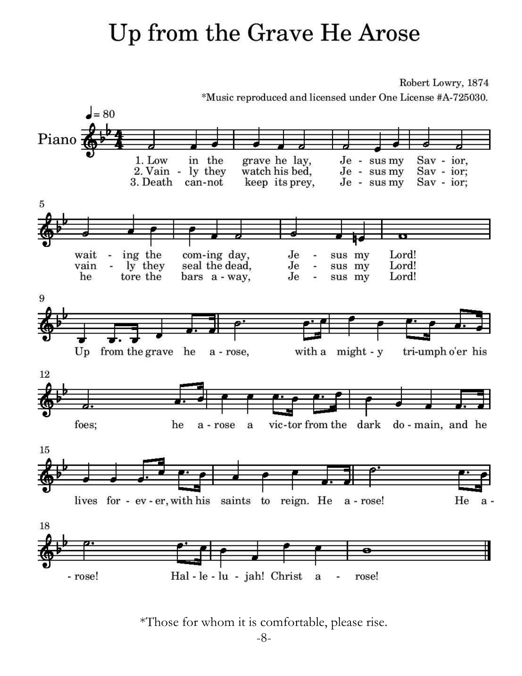## Up from the Grave He Arose

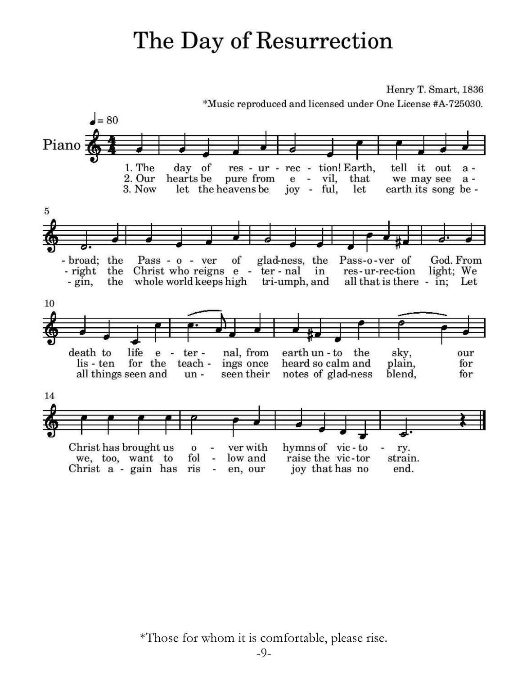### The Day of Resurrection

Henry T. Smart, 1836

\*Music reproduced and licensed under One License #A-725030.  $= 80$ Piano 1. The day of res - ur - rec - tion! Earth, tell it out  $a -$ 2. Our hearts be pure from vil, that we may see  $e$ a -3. Now let the heavens be joy - ful, let earth its song be - $\sqrt{5}$ of glad-ness, the Pass-o-ver of - broad; the  $Pass - o - ver$ God. From Christ who reigns e - ter - nal the in res-ur-rec-tion light; We - right  $-$  gin, the whole world keeps high tri-umph, and all that is there - in; Let 10 death to life nal, from earth un - to the sky, tere our for the lis - ten teach ings once heard so calm and plain, for all things seen and unseen their notes of glad-ness blend,  $_{\rm for}$ 14 Christ has brought us ver with hymns of vic-to  $\mathbf{0}$ ry.  $\overline{a}$ we, too, want to fol low and raise the vic-tor strain.  $\bullet$ Christ a - gain has ris en, our joy that has no end.  $\pi$